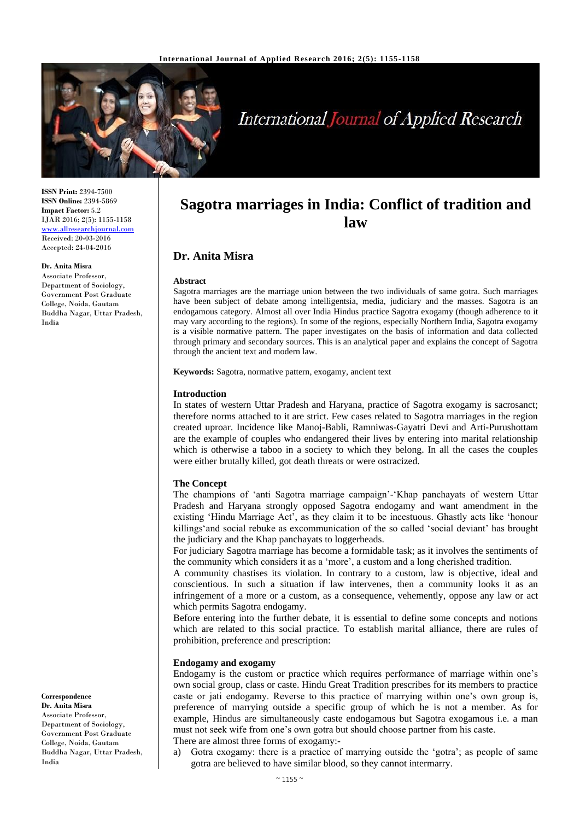

# **International Journal of Applied Research**

**ISSN Print:** 2394-7500 **ISSN Online:** 2394-5869 **Impact Factor:** 5.2 IJAR 2016; 2(5): 1155-1158 <www.allresearchjournal.com> Received: 20-03-2016 Accepted: 24-04-2016

#### **Dr. Anita Misra**

Associate Professor, Department of Sociology, Government Post Graduate College, Noida, Gautam Buddha Nagar, Uttar Pradesh, India

**Correspondence Dr. Anita Misra** Associate Professor, Department of Sociology, Government Post Graduate College, Noida, Gautam Buddha Nagar, Uttar Pradesh, India

# **Sagotra marriages in India: Conflict of tradition and law**

# **Dr. Anita Misra**

#### **Abstract**

Sagotra marriages are the marriage union between the two individuals of same gotra. Such marriages have been subject of debate among intelligentsia, media, judiciary and the masses. Sagotra is an endogamous category. Almost all over India Hindus practice Sagotra exogamy (though adherence to it may vary according to the regions). In some of the regions, especially Northern India, Sagotra exogamy is a visible normative pattern. The paper investigates on the basis of information and data collected through primary and secondary sources. This is an analytical paper and explains the concept of Sagotra through the ancient text and modern law.

**Keywords:** Sagotra, normative pattern, exogamy, ancient text

#### **Introduction**

In states of western Uttar Pradesh and Haryana, practice of Sagotra exogamy is sacrosanct; therefore norms attached to it are strict. Few cases related to Sagotra marriages in the region created uproar. Incidence like Manoj-Babli, Ramniwas-Gayatri Devi and Arti-Purushottam are the example of couples who endangered their lives by entering into marital relationship which is otherwise a taboo in a society to which they belong. In all the cases the couples were either brutally killed, got death threats or were ostracized.

#### **The Concept**

The champions of 'anti Sagotra marriage campaign'-'Khap panchayats of western Uttar Pradesh and Haryana strongly opposed Sagotra endogamy and want amendment in the existing 'Hindu Marriage Act', as they claim it to be incestuous. Ghastly acts like 'honour killings'and social rebuke as excommunication of the so called 'social deviant' has brought the judiciary and the Khap panchayats to loggerheads.

For judiciary Sagotra marriage has become a formidable task; as it involves the sentiments of the community which considers it as a 'more', a custom and a long cherished tradition.

A community chastises its violation. In contrary to a custom, law is objective, ideal and conscientious. In such a situation if law intervenes, then a community looks it as an infringement of a more or a custom, as a consequence, vehemently, oppose any law or act which permits Sagotra endogamy.

Before entering into the further debate, it is essential to define some concepts and notions which are related to this social practice. To establish marital alliance, there are rules of prohibition, preference and prescription:

#### **Endogamy and exogamy**

Endogamy is the custom or practice which requires performance of marriage within one's own social group, class or caste. Hindu Great Tradition prescribes for its members to practice caste or jati endogamy. Reverse to this practice of marrying within one's own group is, preference of marrying outside a specific group of which he is not a member. As for example, Hindus are simultaneously caste endogamous but Sagotra exogamous i.e. a man must not seek wife from one's own gotra but should choose partner from his caste. There are almost three forms of exogamy:-

a) Gotra exogamy: there is a practice of marrying outside the 'gotra'; as people of same gotra are believed to have similar blood, so they cannot intermarry.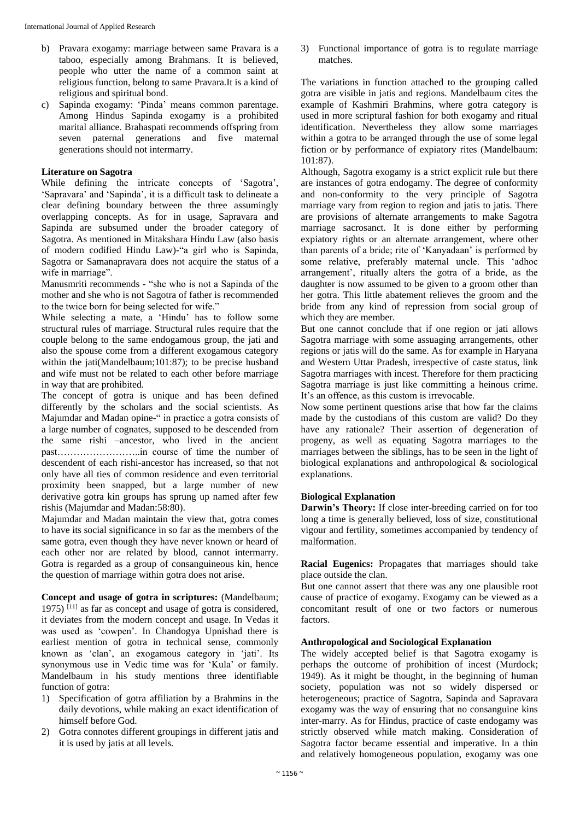- b) Pravara exogamy: marriage between same Pravara is a taboo, especially among Brahmans. It is believed, people who utter the name of a common saint at religious function, belong to same Pravara.It is a kind of religious and spiritual bond.
- c) Sapinda exogamy: 'Pinda' means common parentage. Among Hindus Sapinda exogamy is a prohibited marital alliance. Brahaspati recommends offspring from seven paternal generations and five maternal generations should not intermarry.

# **Literature on Sagotra**

While defining the intricate concepts of 'Sagotra', 'Sapravara' and 'Sapinda', it is a difficult task to delineate a clear defining boundary between the three assumingly overlapping concepts. As for in usage, Sapravara and Sapinda are subsumed under the broader category of Sagotra. As mentioned in Mitakshara Hindu Law (also basis of modern codified Hindu Law)-"a girl who is Sapinda, Sagotra or Samanapravara does not acquire the status of a wife in marriage".

Manusmriti recommends - "she who is not a Sapinda of the mother and she who is not Sagotra of father is recommended to the twice born for being selected for wife."

While selecting a mate, a 'Hindu' has to follow some structural rules of marriage. Structural rules require that the couple belong to the same endogamous group, the jati and also the spouse come from a different exogamous category within the jati(Mandelbaum;101:87); to be precise husband and wife must not be related to each other before marriage in way that are prohibited.

The concept of gotra is unique and has been defined differently by the scholars and the social scientists. As Majumdar and Madan opine-" in practice a gotra consists of a large number of cognates, supposed to be descended from the same rishi –ancestor, who lived in the ancient past……………………..in course of time the number of descendent of each rishi-ancestor has increased, so that not only have all ties of common residence and even territorial proximity been snapped, but a large number of new derivative gotra kin groups has sprung up named after few rishis (Majumdar and Madan:58:80).

Majumdar and Madan maintain the view that, gotra comes to have its social significance in so far as the members of the same gotra, even though they have never known or heard of each other nor are related by blood, cannot intermarry. Gotra is regarded as a group of consanguineous kin, hence the question of marriage within gotra does not arise.

**Concept and usage of gotra in scriptures:** (Mandelbaum; 1975) [11] as far as concept and usage of gotra is considered, it deviates from the modern concept and usage. In Vedas it was used as 'cowpen'. In Chandogya Upnishad there is earliest mention of gotra in technical sense, commonly known as 'clan', an exogamous category in 'jati'. Its synonymous use in Vedic time was for 'Kula' or family. Mandelbaum in his study mentions three identifiable function of gotra:

- 1) Specification of gotra affiliation by a Brahmins in the daily devotions, while making an exact identification of himself before God.
- 2) Gotra connotes different groupings in different jatis and it is used by jatis at all levels.

3) Functional importance of gotra is to regulate marriage matches.

The variations in function attached to the grouping called gotra are visible in jatis and regions. Mandelbaum cites the example of Kashmiri Brahmins, where gotra category is used in more scriptural fashion for both exogamy and ritual identification. Nevertheless they allow some marriages within a gotra to be arranged through the use of some legal fiction or by performance of expiatory rites (Mandelbaum: 101:87).

Although, Sagotra exogamy is a strict explicit rule but there are instances of gotra endogamy. The degree of conformity and non-conformity to the very principle of Sagotra marriage vary from region to region and jatis to jatis. There are provisions of alternate arrangements to make Sagotra marriage sacrosanct. It is done either by performing expiatory rights or an alternate arrangement, where other than parents of a bride; rite of 'Kanyadaan' is performed by some relative, preferably maternal uncle. This 'adhoc arrangement', ritually alters the gotra of a bride, as the daughter is now assumed to be given to a groom other than her gotra. This little abatement relieves the groom and the bride from any kind of repression from social group of which they are member.

But one cannot conclude that if one region or jati allows Sagotra marriage with some assuaging arrangements, other regions or jatis will do the same. As for example in Haryana and Western Uttar Pradesh, irrespective of caste status, link Sagotra marriages with incest. Therefore for them practicing Sagotra marriage is just like committing a heinous crime. It's an offence, as this custom is irrevocable.

Now some pertinent questions arise that how far the claims made by the custodians of this custom are valid? Do they have any rationale? Their assertion of degeneration of progeny, as well as equating Sagotra marriages to the marriages between the siblings, has to be seen in the light of biological explanations and anthropological & sociological explanations.

# **Biological Explanation**

**Darwin's Theory:** If close inter-breeding carried on for too long a time is generally believed, loss of size, constitutional vigour and fertility, sometimes accompanied by tendency of malformation.

**Racial Eugenics:** Propagates that marriages should take place outside the clan.

But one cannot assert that there was any one plausible root cause of practice of exogamy. Exogamy can be viewed as a concomitant result of one or two factors or numerous factors.

# **Anthropological and Sociological Explanation**

The widely accepted belief is that Sagotra exogamy is perhaps the outcome of prohibition of incest (Murdock; 1949). As it might be thought, in the beginning of human society, population was not so widely dispersed or heterogeneous; practice of Sagotra, Sapinda and Sapravara exogamy was the way of ensuring that no consanguine kins inter-marry. As for Hindus, practice of caste endogamy was strictly observed while match making. Consideration of Sagotra factor became essential and imperative. In a thin and relatively homogeneous population, exogamy was one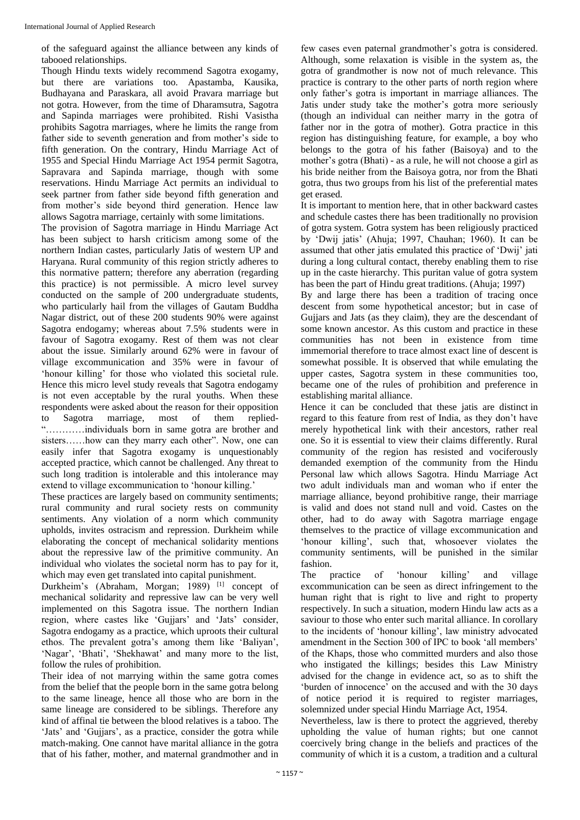of the safeguard against the alliance between any kinds of tabooed relationships.

Though Hindu texts widely recommend Sagotra exogamy, but there are variations too. Apastamba, Kausika, Budhayana and Paraskara, all avoid Pravara marriage but not gotra. However, from the time of Dharamsutra, Sagotra and Sapinda marriages were prohibited. Rishi Vasistha prohibits Sagotra marriages, where he limits the range from father side to seventh generation and from mother's side to fifth generation. On the contrary, Hindu Marriage Act of 1955 and Special Hindu Marriage Act 1954 permit Sagotra, Sapravara and Sapinda marriage, though with some reservations. Hindu Marriage Act permits an individual to seek partner from father side beyond fifth generation and from mother's side beyond third generation. Hence law allows Sagotra marriage, certainly with some limitations.

The provision of Sagotra marriage in Hindu Marriage Act has been subject to harsh criticism among some of the northern Indian castes, particularly Jatis of western UP and Haryana. Rural community of this region strictly adheres to this normative pattern; therefore any aberration (regarding this practice) is not permissible. A micro level survey conducted on the sample of 200 undergraduate students, who particularly hail from the villages of Gautam Buddha Nagar district, out of these 200 students 90% were against Sagotra endogamy; whereas about 7.5% students were in favour of Sagotra exogamy. Rest of them was not clear about the issue. Similarly around 62% were in favour of village excommunication and 35% were in favour of 'honour killing' for those who violated this societal rule. Hence this micro level study reveals that Sagotra endogamy is not even acceptable by the rural youths. When these respondents were asked about the reason for their opposition to Sagotra marriage, most of them replied- "…………individuals born in same gotra are brother and sisters……how can they marry each other". Now, one can easily infer that Sagotra exogamy is unquestionably accepted practice, which cannot be challenged. Any threat to such long tradition is intolerable and this intolerance may extend to village excommunication to 'honour killing.'

These practices are largely based on community sentiments; rural community and rural society rests on community sentiments. Any violation of a norm which community upholds, invites ostracism and repression. Durkheim while elaborating the concept of mechanical solidarity mentions about the repressive law of the primitive community. An individual who violates the societal norm has to pay for it, which may even get translated into capital punishment.

Durkheim's (Abraham, Morgan; 1989)<sup>[1]</sup> concept of mechanical solidarity and repressive law can be very well implemented on this Sagotra issue. The northern Indian region, where castes like 'Gujjars' and 'Jats' consider, Sagotra endogamy as a practice, which uproots their cultural ethos. The prevalent gotra's among them like 'Baliyan', 'Nagar', 'Bhati', 'Shekhawat' and many more to the list, follow the rules of prohibition.

Their idea of not marrying within the same gotra comes from the belief that the people born in the same gotra belong to the same lineage, hence all those who are born in the same lineage are considered to be siblings. Therefore any kind of affinal tie between the blood relatives is a taboo. The 'Jats' and 'Gujjars', as a practice, consider the gotra while match-making. One cannot have marital alliance in the gotra that of his father, mother, and maternal grandmother and in

few cases even paternal grandmother's gotra is considered. Although, some relaxation is visible in the system as, the gotra of grandmother is now not of much relevance. This practice is contrary to the other parts of north region where only father's gotra is important in marriage alliances. The Jatis under study take the mother's gotra more seriously (though an individual can neither marry in the gotra of father nor in the gotra of mother). Gotra practice in this region has distinguishing feature, for example, a boy who belongs to the gotra of his father (Baisoya) and to the mother's gotra (Bhati) - as a rule, he will not choose a girl as his bride neither from the Baisoya gotra, nor from the Bhati gotra, thus two groups from his list of the preferential mates get erased.

It is important to mention here, that in other backward castes and schedule castes there has been traditionally no provision of gotra system. Gotra system has been religiously practiced by 'Dwij jatis' (Ahuja; 1997, Chauhan; 1960). It can be assumed that other jatis emulated this practice of 'Dwij' jati during a long cultural contact, thereby enabling them to rise up in the caste hierarchy. This puritan value of gotra system has been the part of Hindu great traditions. (Ahuja; 1997)

By and large there has been a tradition of tracing once descent from some hypothetical ancestor; but in case of Gujjars and Jats (as they claim), they are the descendant of some known ancestor. As this custom and practice in these communities has not been in existence from time immemorial therefore to trace almost exact line of descent is somewhat possible. It is observed that while emulating the upper castes, Sagotra system in these communities too, became one of the rules of prohibition and preference in establishing marital alliance.

Hence it can be concluded that these jatis are distinct in regard to this feature from rest of India, as they don't have merely hypothetical link with their ancestors, rather real one. So it is essential to view their claims differently. Rural community of the region has resisted and vociferously demanded exemption of the community from the Hindu Personal law which allows Sagotra. Hindu Marriage Act two adult individuals man and woman who if enter the marriage alliance, beyond prohibitive range, their marriage is valid and does not stand null and void. Castes on the other, had to do away with Sagotra marriage engage themselves to the practice of village excommunication and 'honour killing', such that, whosoever violates the community sentiments, will be punished in the similar fashion.

The practice of 'honour killing' and village excommunication can be seen as direct infringement to the human right that is right to live and right to property respectively. In such a situation, modern Hindu law acts as a saviour to those who enter such marital alliance. In corollary to the incidents of 'honour killing', law ministry advocated amendment in the Section 300 of IPC to book 'all members' of the Khaps, those who committed murders and also those who instigated the killings; besides this Law Ministry advised for the change in evidence act, so as to shift the 'burden of innocence' on the accused and with the 30 days of notice period it is required to register marriages, solemnized under special Hindu Marriage Act, 1954.

Nevertheless, law is there to protect the aggrieved, thereby upholding the value of human rights; but one cannot coercively bring change in the beliefs and practices of the community of which it is a custom, a tradition and a cultural